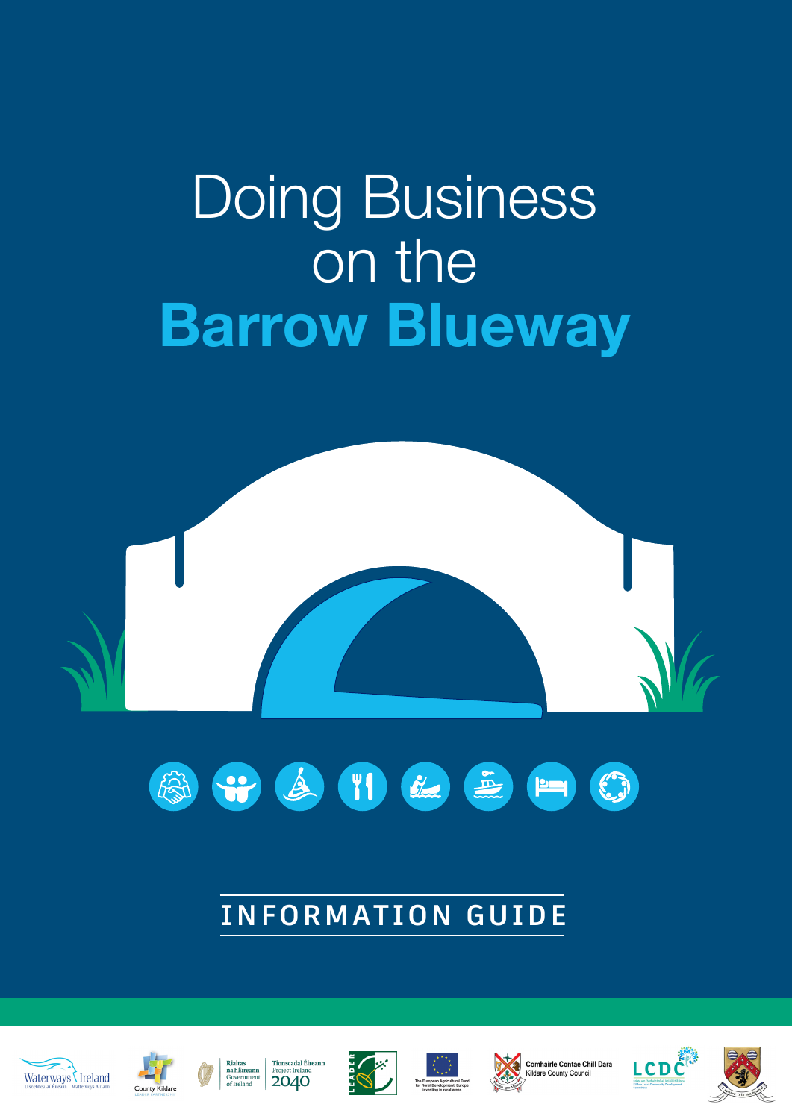# Doing Business on the **Barrow Blueway**





# **INFORMATION GUIDE**













Comhairle Contae Chill Dara



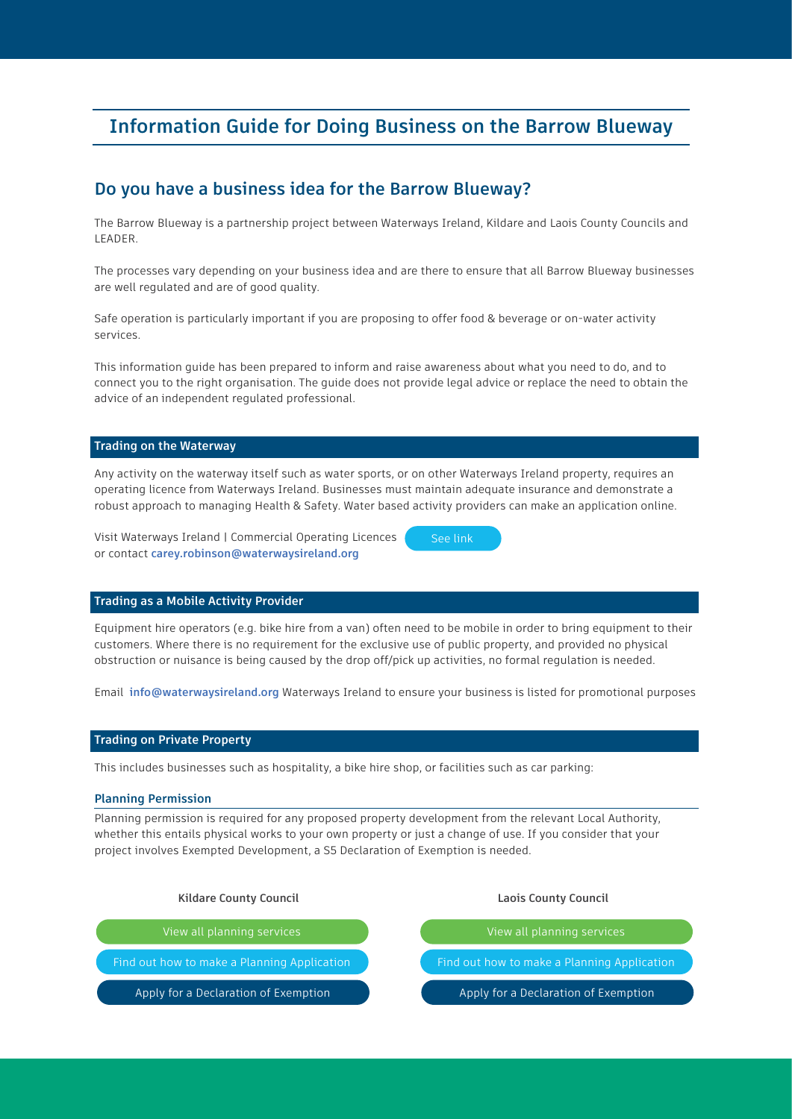## **Information Guide for Doing Business on the Barrow Blueway**

### **Do you have a business idea for the Barrow Blueway?**

The Barrow Blueway is a partnership project between Waterways Ireland, Kildare and Laois County Councils and LEADER.

The processes vary depending on your business idea and are there to ensure that all Barrow Blueway businesses are well regulated and are of good quality.

Safe operation is particularly important if you are proposing to offer food & beverage or on-water activity services.

This information guide has been prepared to inform and raise awareness about what you need to do, and to connect you to the right organisation. The guide does not provide legal advice or replace the need to obtain the advice of an independent regulated professional.

#### **Trading on the Waterway**

Any activity on the waterway itself such as water sports, or on other Waterways Ireland property, requires an operating licence from Waterways Ireland. Businesses must maintain adequate insurance and demonstrate a robust approach to managing Health & Safety. Water based activity providers can make an application online.

Visit Waterways Ireland | Commercial Operating Licences or contact **carey.robinson@waterwaysireland.org** 



#### **Trading as a Mobile Activity Provider**

Equipment hire operators (e.g. bike hire from a van) often need to be mobile in order to bring equipment to their customers. Where there is no requirement for the exclusive use of public property, and provided no physical obstruction or nuisance is being caused by the drop off/pick up activities, no formal regulation is needed.

Email **info@waterwaysireland.org** Waterways Ireland to ensure your business is listed for promotional purposes

#### **Trading on Private Property**

This includes businesses such as hospitality, a bike hire shop, or facilities such as car parking:

#### **Planning Permission**

Planning permission is required for any proposed property development from the relevant Local Authority, whether this entails physical works to your own property or just a change of use. If you consider that your project involves Exempted Development, a S5 Declaration of Exemption is needed.